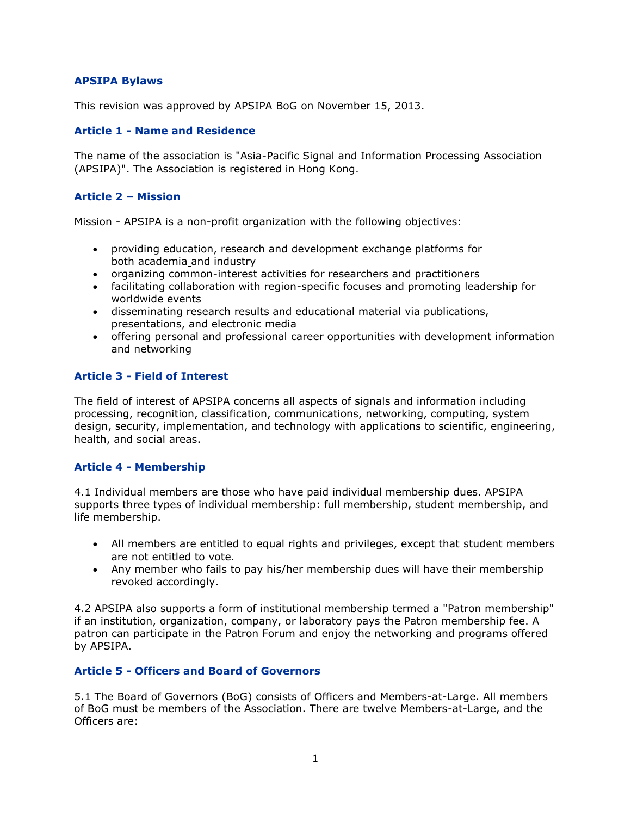# **APSIPA Bylaws**

This revision was approved by APSIPA BoG on November 15, 2013.

# **Article 1 - Name and Residence**

The name of the association is "Asia-Pacific Signal and Information Processing Association (APSIPA)". The Association is registered in Hong Kong.

### **Article 2 – Mission**

Mission - APSIPA is a non-profit organization with the following objectives:

- providing education, research and development exchange platforms for both [academia](http://apsipa.com/bylaws.htm) and industry
- organizing common-interest activities for researchers and practitioners
- facilitating collaboration with region-specific focuses and promoting leadership for worldwide events
- disseminating research results and educational material via publications, presentations, and electronic media
- offering personal and professional [career opportunities](http://apsipa.com/bylaws.htm) with development information and networking

# **Article 3 - Field of Interest**

The field of interest of APSIPA concerns all aspects of signals and information including processing, recognition, classification, communications, networking, computing, system design, [security,](http://apsipa.com/bylaws.htm) implementation, and technology with applications to scientific, engineering, health, and social areas.

#### **Article 4 - [Membership](http://apsipa.com/bylaws.htm)**

4.1 Individual members are those who have paid individual membership dues. APSIPA supports three types of individual membership: full membership, student membership, and life membership.

- All members are entitled to equal rights and privileges, except that student members are not entitled to vote.
- Any member who fails to pay his/her membership dues will have their membership revoked accordingly.

4.2 APSIPA also supports a form of institutional membership termed a "Patron membership" if an institution, organization, company, or laboratory pays the Patron membership fee. A patron can participate in the Patron Forum and enjoy the networking and programs offered by APSIPA.

#### **Article 5 - Officers and Board of Governors**

5.1 The Board of Governors (BoG) consists of Officers and Members-at-Large. All members of BoG must be members of the Association. There are twelve Members-at-Large, and the Officers are: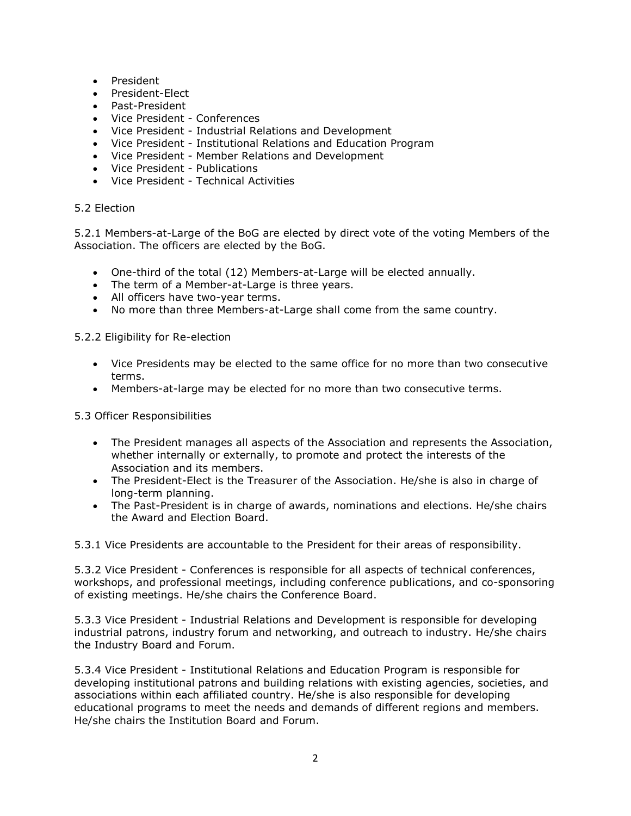- President
- President-Elect
- Past-President
- Vice President Conferences
- Vice President Industrial Relations and Development
- Vice President Institutional Relations and [Education Program](http://apsipa.com/bylaws.htm)
- Vice President Member Relations and Development
- Vice President Publications
- Vice President Technical Activities

#### 5.2 Election

5.2.1 Members-at-Large of the BoG are elected by direct vote of the voting Members of the Association. The officers are elected by the BoG.

- One-third of the total (12) Members-at-Large will be elected annually.
- The term of a Member-at-Large is three years.
- All officers have two-year terms.
- No more than three Members-at-Large shall come from the same country.

#### 5.2.2 Eligibility for Re-election

- Vice Presidents may be elected to the same office for no more than two consecutive terms.
- Members-at-large may be elected for no more than two consecutive terms.

#### 5.3 Officer Responsibilities

- The President manages all aspects of the Association and represents the Association, whether internally or externally, to promote and protect the interests of the Association and its members.
- The President-Elect is the Treasurer of the Association. He/she is also in charge of long-term planning.
- The Past-President is in charge of awards, nominations and elections. He/she chairs the Award and Election Board.

5.3.1 Vice Presidents are accountable to the President for their areas of responsibility.

5.3.2 Vice President - Conferences is responsible for all aspects of technical conferences, workshops, and professional meetings, including conference publications, and co-sponsoring of existing meetings. He/she chairs the Conference Board.

5.3.3 Vice President - Industrial Relations and Development is responsible for developing industrial patrons, industry forum and networking, and outreach to industry. He/she chairs the Industry Board and Forum.

5.3.4 Vice President - Institutional Relations and Education Program is responsible for developing institutional patrons and building relations with existing agencies, societies, and associations within each affiliated country. He/she is also responsible for developing [educational programs](http://apsipa.com/bylaws.htm) to meet the needs and demands of different regions and members. He/she chairs the Institution Board and Forum.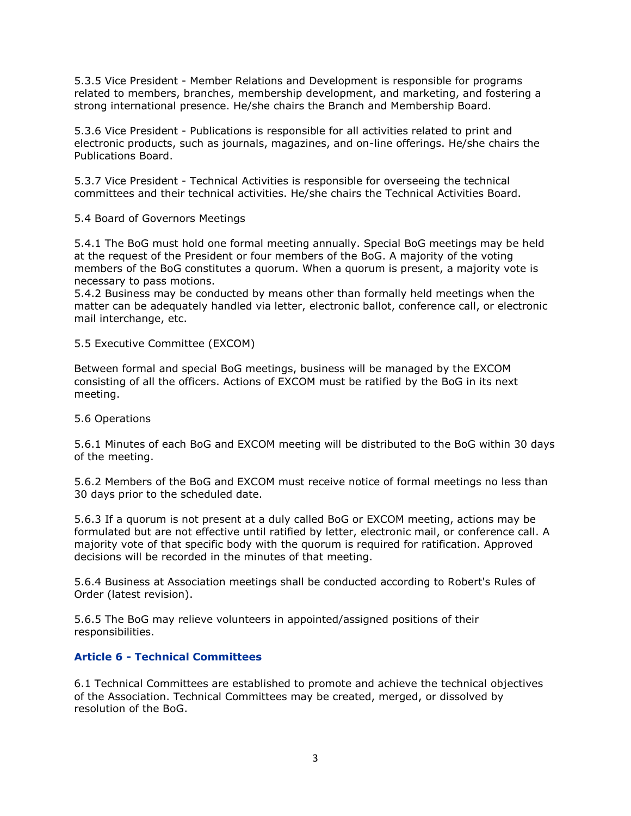5.3.5 Vice President - Member Relations and Development is responsible for programs related to members, branches, membership development, and marketing, and fostering a strong international presence. He/she chairs the Branch and Membership Board.

5.3.6 Vice President - Publications is responsible for all activities related to print and electronic products, such as journals, magazines, and on-line offerings. He/she chairs the Publications Board.

5.3.7 Vice President - Technical Activities is responsible for overseeing the technical committees and their technical activities. He/she chairs the Technical Activities Board.

5.4 Board of Governors Meetings

5.4.1 The BoG must hold one formal meeting annually. Special BoG meetings may be held at the request of the President or four members of the BoG. A majority of the voting members of the BoG constitutes a quorum. When a quorum is present, a majority vote is necessary to pass motions.

5.4.2 Business may be conducted by means other than formally held meetings when the matter can be adequately handled via letter, electronic ballot, conference call, or electronic mail interchange, etc.

5.5 Executive Committee (EXCOM)

Between formal and special BoG meetings, business will be managed by the EXCOM consisting of all the officers. Actions of EXCOM must be ratified by the BoG in its next meeting.

#### 5.6 Operations

5.6.1 Minutes of each BoG and EXCOM meeting will be distributed to the BoG within 30 days of the meeting.

5.6.2 Members of the BoG and EXCOM must receive notice of formal meetings no less than 30 days prior to the scheduled date.

5.6.3 If a quorum is not present at a duly called BoG or EXCOM meeting, actions may be formulated but are not effective until ratified by letter, electronic mail, or conference call. A majority vote of that specific body with the quorum is required for ratification. Approved decisions will be recorded in the minutes of that meeting.

5.6.4 Business at Association meetings shall be conducted according to Robert's Rules of Order (latest revision).

5.6.5 The BoG may relieve volunteers in appointed/assigned positions of their responsibilities.

# **Article 6 - Technical Committees**

6.1 Technical Committees are established to promote and achieve the technical objectives of the Association. Technical Committees may be created, merged, or dissolved by resolution of the BoG.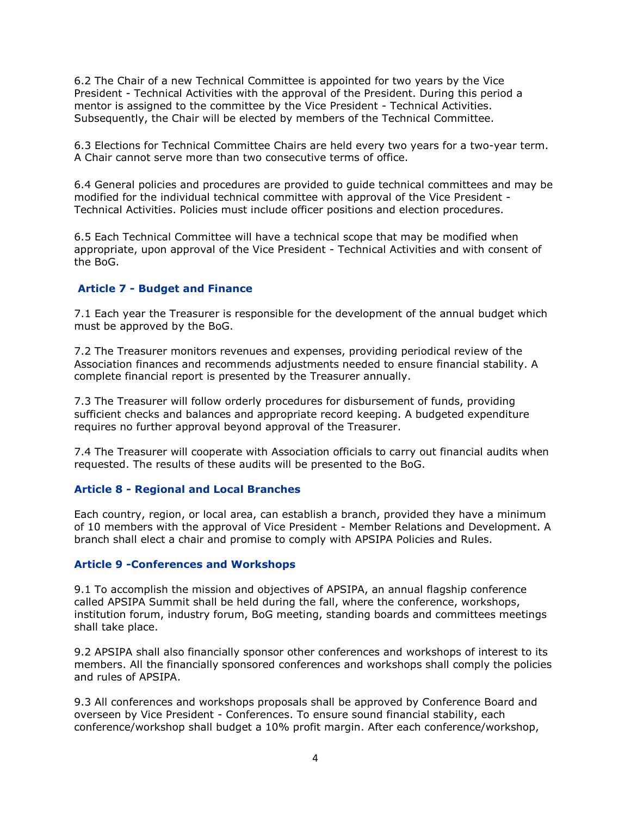6.2 The Chair of a new Technical Committee is appointed for two years by the Vice President - Technical Activities with the approval of the President. During this period a mentor is assigned to the committee by the Vice President - Technical Activities. Subsequently, the Chair will be elected by members of the Technical Committee.

6.3 Elections for Technical Committee Chairs are held every two years for a two-year term. A Chair cannot serve more than two consecutive terms of office.

6.4 General policies and procedures are provided to guide technical committees and may be modified for the individual technical committee with approval of the Vice President - Technical Activities. Policies must include officer positions and election procedures.

6.5 Each Technical Committee will have a technical scope that may be modified when appropriate, upon approval of the Vice President - Technical Activities and with consent of the BoG.

# **Article 7 - Budget and Finance**

7.1 Each year the Treasurer is responsible for the development of the annual budget which must be approved by the BoG.

7.2 The Treasurer monitors revenues and expenses, providing periodical review of the Association finances and recommends adjustments needed to ensure financial stability. A complete financial report is presented by the Treasurer annually.

7.3 The Treasurer will follow orderly procedures for disbursement of funds, providing sufficient checks and balances and appropriate record keeping. A budgeted expenditure requires no further approval beyond approval of the Treasurer.

7.4 The Treasurer will cooperate with Association officials to carry out financial audits when requested. The results of these audits will be presented to the BoG.

#### **Article 8 - Regional and Local Branches**

Each country, region, or local area, can establish a branch, provided they have a minimum of 10 members with the approval of Vice President - Member Relations and Development. A branch shall elect a chair and promise to comply with APSIPA Policies and Rules.

#### **Article 9 -Conferences and Workshops**

9.1 To accomplish the mission and objectives of APSIPA, an annual flagship conference called APSIPA Summit shall be held during the fall, where the conference, workshops, institution forum, industry forum, BoG meeting, standing boards and committees meetings shall take place.

9.2 APSIPA shall also financially sponsor other conferences and workshops of interest to its members. All the financially sponsored conferences and workshops shall comply the policies and rules of APSIPA.

9.3 All conferences and workshops proposals shall be approved by Conference Board and overseen by Vice President - Conferences. To ensure sound financial stability, each conference/workshop shall budget a 10% profit margin. After each conference/workshop,